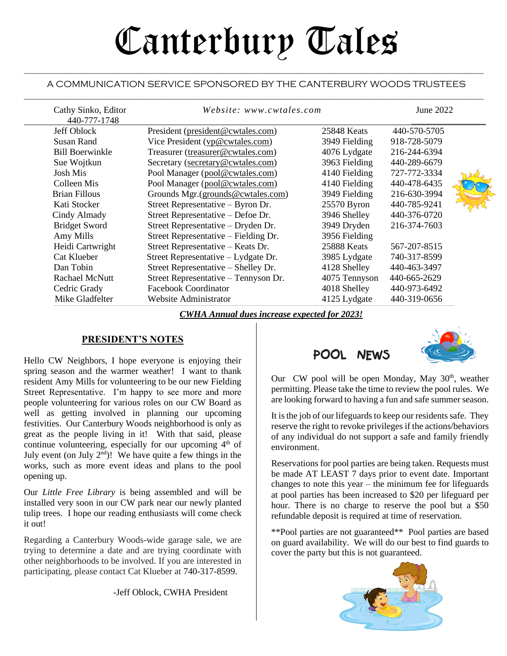# Canterbury Tales

### $\mathcal{L}_\mathcal{L} = \mathcal{L}_\mathcal{L} = \mathcal{L}_\mathcal{L} = \mathcal{L}_\mathcal{L} = \mathcal{L}_\mathcal{L} = \mathcal{L}_\mathcal{L} = \mathcal{L}_\mathcal{L} = \mathcal{L}_\mathcal{L} = \mathcal{L}_\mathcal{L} = \mathcal{L}_\mathcal{L} = \mathcal{L}_\mathcal{L} = \mathcal{L}_\mathcal{L} = \mathcal{L}_\mathcal{L} = \mathcal{L}_\mathcal{L} = \mathcal{L}_\mathcal{L} = \mathcal{L}_\mathcal{L} = \mathcal{L}_\mathcal{L}$ A COMMUNICATION SERVICE SPONSORED BY THE CANTERBURY WOODS TRUSTEES  $\_$  , and the set of the set of the set of the set of the set of the set of the set of the set of the set of the set of the set of the set of the set of the set of the set of the set of the set of the set of the set of th

| Cathy Sinko, Editor<br>440-777-1748 | Website: www.cwtales.com             |               | June 2022    |  |
|-------------------------------------|--------------------------------------|---------------|--------------|--|
| Jeff Oblock                         | President (president@cwtales.com)    | 25848 Keats   | 440-570-5705 |  |
| Susan Rand                          | Vice President (vp@cwtales.com)      | 3949 Fielding | 918-728-5079 |  |
| Bill Boerwinkle                     | Treasurer (treasurer@cwtales.com)    | 4076 Lydgate  | 216-244-6394 |  |
| Sue Wojtkun                         | Secretary (secretary@cwtales.com)    | 3963 Fielding | 440-289-6679 |  |
| Josh Mis                            | Pool Manager (pool@cwtales.com)      | 4140 Fielding | 727-772-3334 |  |
| Colleen Mis                         | Pool Manager (pool@cwtales.com)      | 4140 Fielding | 440-478-6435 |  |
| <b>Brian Fillous</b>                | Grounds Mgr.(grounds@cwtales.com)    | 3949 Fielding | 216-630-3994 |  |
| Kati Stocker                        | Street Representative – Byron Dr.    | 25570 Byron   | 440-785-9241 |  |
| Cindy Almady                        | Street Representative – Defoe Dr.    | 3946 Shelley  | 440-376-0720 |  |
| <b>Bridget Sword</b>                | Street Representative – Dryden Dr.   | 3949 Dryden   | 216-374-7603 |  |
| Amy Mills                           | Street Representative – Fielding Dr. | 3956 Fielding |              |  |
| Heidi Cartwright                    | Street Representative – Keats Dr.    | 25888 Keats   | 567-207-8515 |  |
| Cat Klueber                         | Street Representative – Lydgate Dr.  | 3985 Lydgate  | 740-317-8599 |  |
| Dan Tobin                           | Street Representative – Shelley Dr.  | 4128 Shelley  | 440-463-3497 |  |
| Rachael McNutt                      | Street Representative – Tennyson Dr. | 4075 Tennyson | 440-665-2629 |  |
| Cedric Grady                        | Facebook Coordinator                 | 4018 Shelley  | 440-973-6492 |  |
| Mike Gladfelter                     | Website Administrator                | 4125 Lydgate  | 440-319-0656 |  |

*CWHA Annual dues increase expected for 2023!*

### **PRESIDENT'S NOTES**

Hello CW Neighbors, I hope everyone is enjoying their spring season and the warmer weather! I want to thank resident Amy Mills for volunteering to be our new Fielding Street Representative. I'm happy to see more and more people volunteering for various roles on our CW Board as well as getting involved in planning our upcoming festivities. Our Canterbury Woods neighborhood is only as great as the people living in it! With that said, please continue volunteering, especially for our upcoming  $4<sup>th</sup>$  of July event (on July  $2<sup>nd</sup>$ )! We have quite a few things in the works, such as more event ideas and plans to the pool opening up.

Our *Little Free Library* is being assembled and will be installed very soon in our CW park near our newly planted tulip trees. I hope our reading enthusiasts will come check it out!

Regarding a Canterbury Woods-wide garage sale, we are trying to determine a date and are trying coordinate with other neighborhoods to be involved. If you are interested in participating, please contact Cat Klueber at 740-317-8599.

-Jeff Oblock, CWHA President

## **POOL NEWS**



Our CW pool will be open Monday, May 30<sup>th</sup>, weather permitting. Please take the time to review the pool rules. We are looking forward to having a fun and safe summer season.

It is the job of our lifeguards to keep our residents safe. They reserve the right to revoke privileges if the actions/behaviors of any individual do not support a safe and family friendly environment.

Reservations for pool parties are being taken. Requests must be made AT LEAST 7 days prior to event date. Important changes to note this year – the minimum fee for lifeguards at pool parties has been increased to \$20 per lifeguard per hour. There is no charge to reserve the pool but a \$50 refundable deposit is required at time of reservation.

\*\*Pool parties are not guaranteed\*\* Pool parties are based on guard availability. We will do our best to find guards to cover the party but this is not guaranteed.